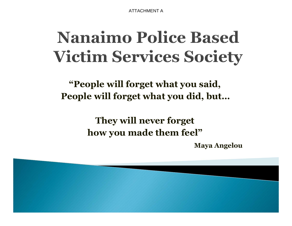ATTACHMENT A

## **Nanaimo Police Based Victim Services Society**

**"People will forget what you said,People will forget what you did, but…**

> **They will never forget how you made them feel"**

> > **Maya Angelou**

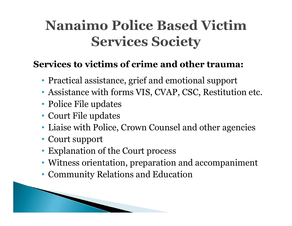### **Nanaimo Police Based Victim Services Society**

#### **Services to victims of crime and other trauma:**

- Practical assistance, grief and emotional support
- Assistance with forms VIS, CVAP, CSC, Restitution etc.
- Police File updates
- Court File updates

**The Comment of Comment Comment Comment Comment Comment Comment Comment Comment Comment Comment Comment Comment** 

- Liaise with Police, Crown Counsel and other agencies
- Court support
- Explanation of the Court process
- Witness orientation, preparation and accompaniment
- Community Relations and Education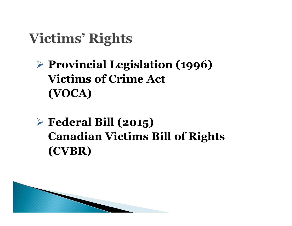### **Victims' Rights**

#### **Provincial Legislation (1996) Victims of Crime Act (VOCA)**

 **Federal Bill (2015) Canadian Victims Bill of Rights(CVBR)**

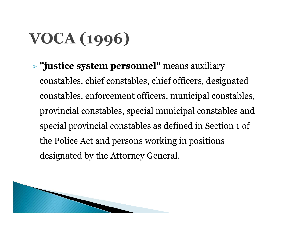# **VOCA (1996)**

 **"justice system personnel"** means auxiliary constables, chief constables, chief officers, designated constables, enforcement officers, municipal constables, provincial constables, special municipal constables and special provincial constables as defined in Section 1 of the <u>Police Act</u> and persons working in positions designated by the Attorney General.

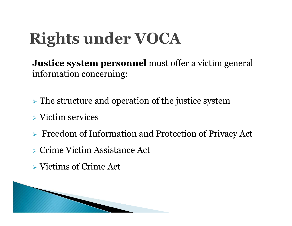# **Rights under VOCA**

**Justice system personnel** must offer a victim general information concerning:

 $\triangleright$  The structure and operation of the justice system

- Victim services
- Freedom of Information and Protection of Privacy Ac t
- Crime Victim Assistance Act
- Victims of Crime Act

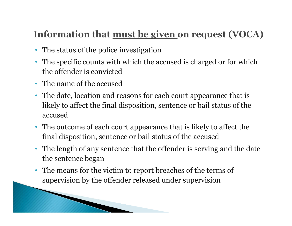#### Information that <u>must be given</u> on request (VOCA)

- The status of the police investigation
- The specific counts with which the accused is charged or for which the offender is convicted
- The name of the accused

**The Comment of Comment of The Comment of The Comment of The Comment of The Comment of The Comment of The Comment of The Comment of The Comment of The Comment of The Comment of The Comment of The Comment of The Comment of** 

- The date, location and reasons for each court appearance that is likely to affect the final disposition, sentence or bail status of the accused
- The outcome of each court appearance that is likely to affect the final disposition, sentence or bail status of the accused
- The length of any sentence that the offender is serving and the date the sentence began
- • The means for the victim to report breaches of the terms of supervision by the offender released under supervision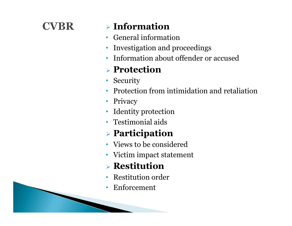#### **CVBR**

### **Information**

- General information $\bullet$
- Investigation and proceedings•
- •Information about offender or accused

#### **Protection**

- Security
- $\bullet$ Protection from intimidation and retaliation
- •Privacy
- •Identity protection
- Testimonial aids

### **Participation**

- Views to be considered
- Victim impact statement

#### **Restitution**

- Restitution order•
- $\bullet$ Enforcement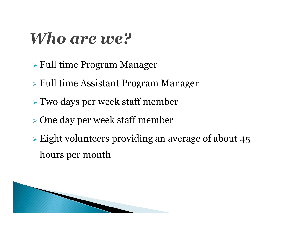### Who are we?

- Full time Program Manager
- Full time Assistant Program Manager
- Two days per week staff member
- One day per week staff member
- $\triangleright$  Eight volunteers providing an average of about 45 hours per month

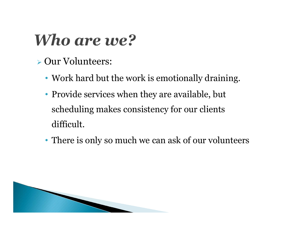### Who are we?

- Our Volunteers:
	- Work hard but the work is emotionally draining.
	- Provide services when they are available, but scheduling makes consistency for our clients difficult.
	- There is only so much we can ask of our volunteers

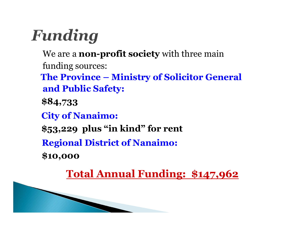## Funding

We are a **non-profit society** with three main funding sources:

**The Province – Ministry of Solicitor General and Public Safety:**

**\$84,733**

**City of Nanaimo:**

**\$53,229 plus "in kind" for rent** 

**Regional District of Nanaimo:**

**\$10,000**

**Total Annual Funding: \$147,962**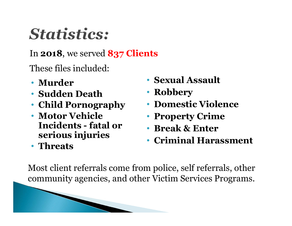## **Statistics:**

In **2018**, we served **837 Clients**

These files included:

- **Murder**
- **Sudden Death**
- **Child Pornography**
- **Motor Vehicle Incidents - fatal or serious injuries**
- **Threats**
- **Sexual Assault**
- **Robbery**
- **Domestic Violence**
- **Property Crime**
- **Break & Enter**
- **Criminal Harassment**

Most client referrals come from police, self referrals, other community agencies, and other Victim Services Programs.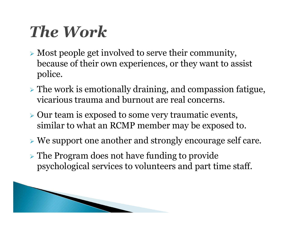## **The Work**

- Most people get involved to serve their community, because of their own experiences, or they want to assist police.
- $\triangleright$  The work is emotionally draining, and compassion fatigue, vicarious trauma and burnout are real concerns.
- $\triangleright$  Our team is exposed to some very traumatic events, similar to what an RCMP member may be exposed to.
- We support one another and strongly encourage self care.
- The Program does not have funding to provide psychological services to volunteers and part time staff.

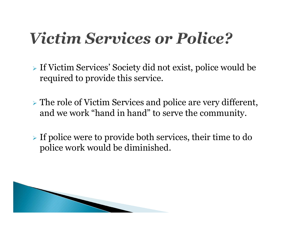### *Victim Services or Police?*

- If Victim Services' Society did not exist, police would be required to provide this service.
- $\triangleright$  The role of Victim Services and police are very different, and we work "hand in hand" to serve the community.
- If police were to provide both services, their time to do police work would be diminished.

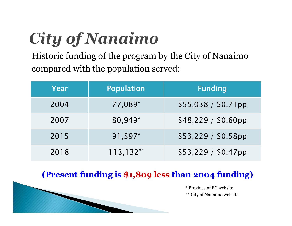# **City of Nanaimo**

Historic funding of the program by the City of Nanaimo compared with the population served:

| Year | <b>Population</b> | <b>Funding</b>       |
|------|-------------------|----------------------|
| 2004 | 77,089 $*$        | $$55,038 / $0.71$ pp |
| 2007 | 80,949*           | \$48,229 / \$0.60pp  |
| 2015 | 91,597*           | \$53,229 / \$0.58pp  |
| 2018 | $113,132**$       | $$53,229 / $0.47$ pp |

#### **(Present funding is \$1,809 less than 2004 funding)**

\* Province of BC website\*\* City of Nanaimo website